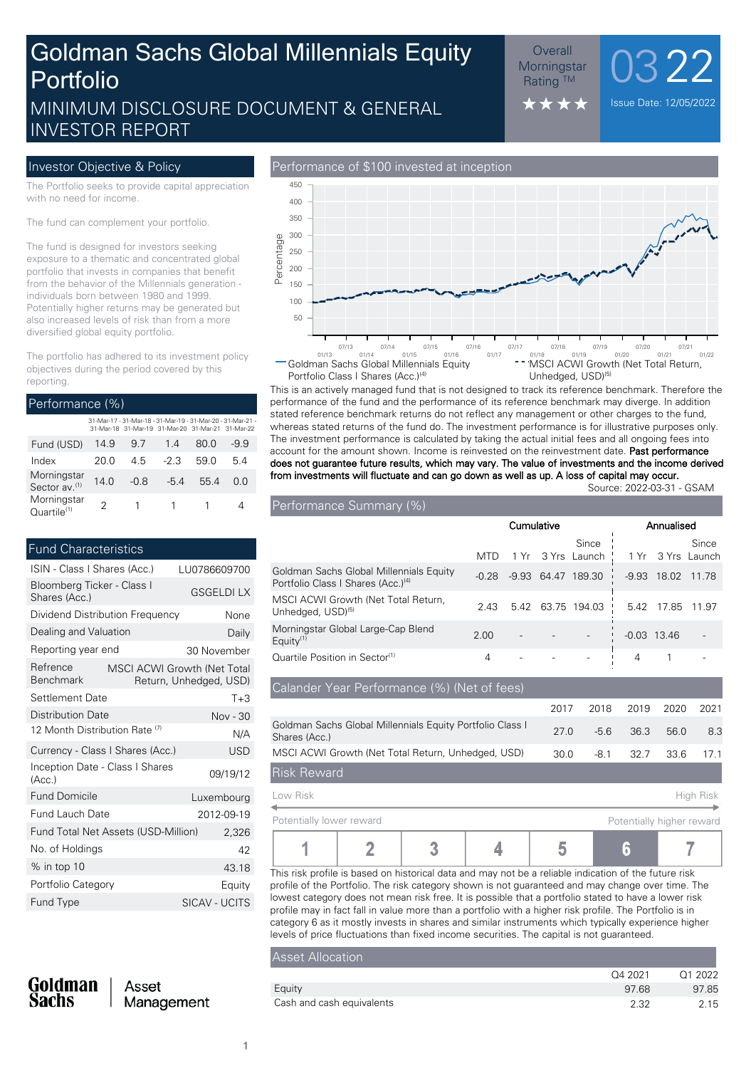# MINIMUM DISCLOSURE DOCUMENT & GENERAL The Set in the set of the Date: 12/05/2022 Goldman Sachs Global Millennials Equity Portfolio

### $\frac{\text{Overall}}{\text{primary max}}$  0322 **Morningstar Rating ™**

INVESTOR REPORT

The Portfolio seeks to provide capital appreciation with no need for income.

The fund can complement your portfolio.

The fund is designed for investors seeking exposure to a thematic and concentrated global portfolio that invests in companies that benefit from the behavior of the Millennials generation individuals born between 1980 and 1999. Potentially higher returns may be generated but also increased levels of risk than from a more diversified global equity portfolio.

The portfolio has adhered to its investment policy objectives during the period covered by this reporting.

| Performance (%)                          |      |      |                                                                                                                  |      |        |  |  |  |
|------------------------------------------|------|------|------------------------------------------------------------------------------------------------------------------|------|--------|--|--|--|
|                                          |      |      | 31-Mar-17 - 31-Mar-18 - 31-Mar-19 - 31-Mar-20 - 31-Mar-21 -<br>31-Mar-18 31-Mar-19 31-Mar-20 31-Mar-21 31-Mar-22 |      |        |  |  |  |
| Fund (USD)                               | 14.9 | 97   | 14                                                                                                               | 80 O | $-9.9$ |  |  |  |
| Index                                    | 20 O | 45   | $-2.3$                                                                                                           | 59 O | 54     |  |  |  |
| Morningstar<br>Sector av. <sup>(1)</sup> | 140  | -0.8 | $-54$                                                                                                            | 554  | n n    |  |  |  |
| Morningstar<br>Quartile <sup>(1)</sup>   |      |      | 1                                                                                                                |      |        |  |  |  |

#### Fund Characteristics

| ISIN - Class I Shares (Acc.)                | LU0786609700                                          |               |
|---------------------------------------------|-------------------------------------------------------|---------------|
| Bloomberg Ticker - Class I<br>Shares (Acc.) | <b>GSGELDILX</b>                                      |               |
| Dividend Distribution Frequency             |                                                       | None          |
| Dealing and Valuation                       |                                                       | Daily         |
| Reporting year end                          |                                                       | 30 November   |
| Refrence<br><b>Benchmark</b>                | MSCI ACWI Growth (Net Total<br>Return, Unhedged, USD) |               |
| Settlement Date                             |                                                       | $T + 3$       |
| <b>Distribution Date</b>                    |                                                       | Nov - 30      |
| 12 Month Distribution Rate <sup>(7)</sup>   | N/A                                                   |               |
| Currency - Class I Shares (Acc.)            | USD                                                   |               |
| Inception Date - Class I Shares<br>(Acc.)   |                                                       | 09/19/12      |
| <b>Fund Domicile</b>                        |                                                       | Luxembourg    |
| <b>Fund Lauch Date</b>                      |                                                       | 2012-09-19    |
| Fund Total Net Assets (USD-Million)         |                                                       | 2,326         |
| No. of Holdings                             |                                                       | 42            |
| $%$ in top 10                               |                                                       | 43.18         |
| Portfolio Category                          |                                                       | Equity        |
| Fund Type                                   |                                                       | SICAV - UCITS |
|                                             |                                                       |               |

#### Investor Objective & Policy **Performance of \$100** invested at inception



This is an actively managed fund that is not designed to track its reference benchmark. Therefore the performance of the fund and the performance of its reference benchmark may diverge. In addition stated reference benchmark returns do not reflect any management or other charges to the fund, whereas stated returns of the fund do. The investment performance is for illustrative purposes only. The investment performance is calculated by taking the actual initial fees and all ongoing fees into account for the amount shown. Income is reinvested on the reinvestment date. **Past performance does not guarantee future results, which may vary. The value of investments and the income derived from investments will fluctuate and can go down as well as up. A loss of capital may occur.**

Source: 2022-03-31 - GSAM

| Performance Summary (%)                                                                   |            |         |       |                            |         |               |                       |
|-------------------------------------------------------------------------------------------|------------|---------|-------|----------------------------|---------|---------------|-----------------------|
|                                                                                           | Cumulative |         |       | Annualised                 |         |               |                       |
|                                                                                           | MTD        |         |       | Since<br>1 Yr 3 Yrs Launch | 1 Yr    |               | Since<br>3 Yrs Launch |
| Goldman Sachs Global Millennials Equity<br>Portfolio Class I Shares (Acc.) <sup>(4)</sup> | $-0.28$    | $-9.93$ | 64.47 | 189.30                     | $-9.93$ | 18.02         | 11.78                 |
| MSCI ACWI Growth (Net Total Return,<br>Unhedged, USD) <sup>(5)</sup>                      | 2.43       | 5.42    |       | 63.75 194.03               | 5.42    | 17.85         | 11.97                 |
| Morningstar Global Large-Cap Blend<br>Equity $(1)$                                        | 2.00       |         |       |                            |         | $-0.03$ 13.46 |                       |
| Quartile Position in Sector <sup>(1)</sup>                                                | 4          |         |       |                            | 4       |               |                       |

| Calander Year Performance (%) (Net of fees)                                |      |        |      |      |           |
|----------------------------------------------------------------------------|------|--------|------|------|-----------|
|                                                                            | 2017 | 2018   | 2019 | 2020 | 2021      |
| Goldman Sachs Global Millennials Equity Portfolio Class I<br>Shares (Acc.) | 27 Q | $-5.6$ | 36.3 | 56.0 | 8.3       |
| MSCI ACWI Growth (Net Total Return, Unhedged, USD)                         | 30.0 | $-8.1$ | 32.7 | 33.6 | 171       |
| <b>Risk Reward</b>                                                         |      |        |      |      |           |
| Low Risk                                                                   |      |        |      |      | High Risk |

| Potentially lower reward |  |  | Potentially higher reward |
|--------------------------|--|--|---------------------------|
|                          |  |  |                           |

This risk profile is based on historical data and may not be a reliable indication of the future risk profile of the Portfolio. The risk category shown is not guaranteed and may change over time. The lowest category does not mean risk free. It is possible that a portfolio stated to have a lower risk profile may in fact fall in value more than a portfolio with a higher risk profile. The Portfolio is in category 6 as it mostly invests in shares and similar instruments which typically experience higher levels of price fluctuations than fixed income securities. The capital is not guaranteed.

#### Asset Allocation

|                           | Q4 2021 | Q1 2022 |
|---------------------------|---------|---------|
| Eauity                    | 97.68   | 97.85   |
| Cash and cash equivalents | 2.32    | 2.15    |

| Goldman |
|---------|
| Sachs   |

Asset Management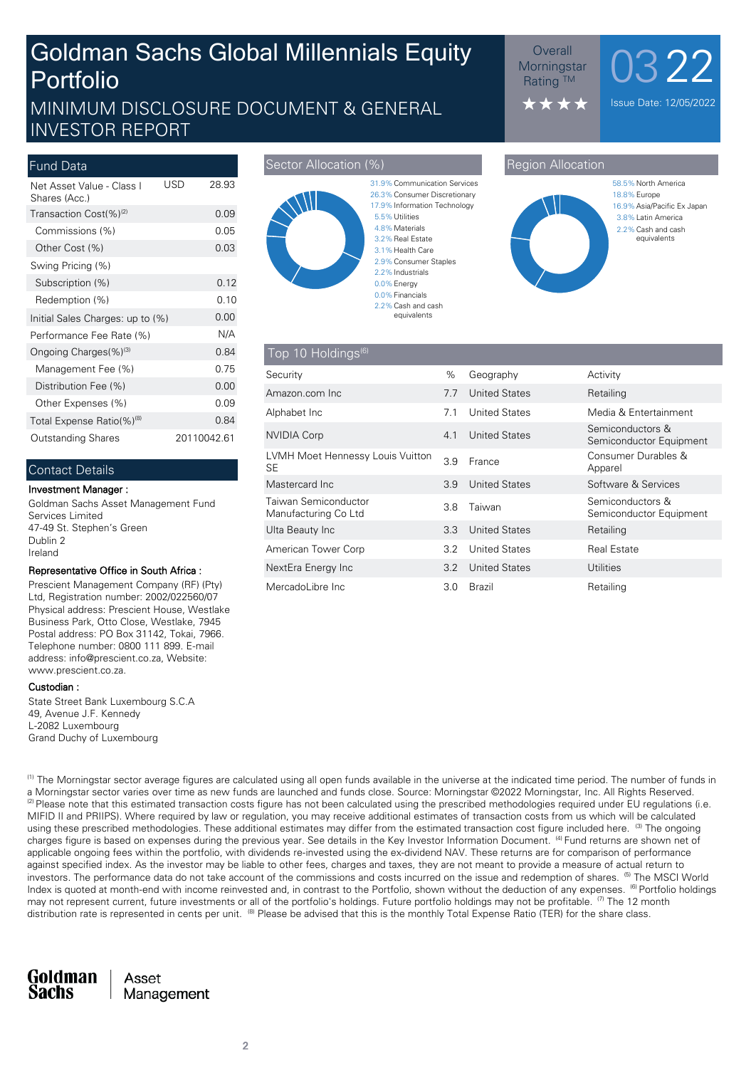# Goldman Sachs Global Millennials Equity Portfolio

## MINIMUM DISCLOSURE DOCUMENT & GENERAL INVESTOR REPORT

| USD<br>28.93 |
|--------------|
| 0.09         |
| 0.05         |
| 0.03         |
|              |
| 0.12         |
| 0.10         |
| 0.00         |
| N/A          |
| 0.84         |
| 0.75         |
| 0.00         |
| 0.09         |
| 0.84         |
| 20110042.61  |
|              |

#### Contact Details

#### **Investment Manager :**

Goldman Sachs Asset Management Fund Services Limited 47-49 St. Stephen's Green Dublin 2 Ireland

#### **Representative Office in South Africa :**

Prescient Management Company (RF) (Pty) Ltd, Registration number: 2002/022560/07 Physical address: Prescient House, Westlake Business Park, Otto Close, Westlake, 7945 Postal address: PO Box 31142, Tokai, 7966. Telephone number: 0800 111 899. E-mail address: info@prescient.co.za, Website: www.prescient.co.za.

#### **Custodian :**

State Street Bank Luxembourg S.C.A 49, Avenue J.F. Kennedy L-2082 Luxembourg Grand Duchy of Luxembourg

#### **Sector Allocation (%) Sector Allocation (%)** Region Allocation



#### 0.0%Energy 2.2%Industrials 2.9%Consumer Staples 3.1% Health Care 3.2% Real Estate 4.8%Materials 5.5%Utilities 17.9% Information Technology 26.3%Consumer Discretionary

2.2% Cash and cash equivalents

**Morningstar Rating ™** 

> $\bigstar$ \*\*



 $\frac{\text{Overall}}{\text{primary max}}$  0322

Issue Date: 12/05/2022

| $\sqrt{10p}$ 10 Holdings <sup>(6)</sup>       |      |                      |                                             |
|-----------------------------------------------|------|----------------------|---------------------------------------------|
| Security                                      | $\%$ | Geography            | Activity                                    |
| Amazon.com Inc.                               | 7.7  | <b>United States</b> | Retailing                                   |
| Alphabet Inc                                  | 7.1  | <b>United States</b> | Media & Entertainment                       |
| NVIDIA Corp                                   | 4.1  | <b>United States</b> | Semiconductors &<br>Semiconductor Equipment |
| LVMH Moet Hennessy Louis Vuitton<br><b>SE</b> | 3.9  | France               | Consumer Durables &<br>Apparel              |
| Mastercard Inc.                               | 3.9  | <b>United States</b> | Software & Services                         |
| Taiwan Semiconductor<br>Manufacturing Co Ltd  | 3.8  | Taiwan               | Semiconductors &<br>Semiconductor Equipment |
| Ulta Beauty Inc                               | 3.3  | <b>United States</b> | Retailing                                   |
| American Tower Corp                           | 3.2  | <b>United States</b> | <b>Real Estate</b>                          |
| NextEra Energy Inc                            | 3.2  | <b>United States</b> | Utilities                                   |
| MercadoLibre Inc.                             | 3.0  | Brazil               | Retailing                                   |

<sup>(1)</sup> The Morningstar sector average figures are calculated using all open funds available in the universe at the indicated time period. The number of funds in a Morningstar sector varies over time as new funds are launched and funds close. Source: Morningstar ©2022 Morningstar, Inc. All Rights Reserved.  $^{(2)}$  Please note that this estimated transaction costs figure has not been calculated using the prescribed methodologies required under EU regulations (i.e. MIFID II and PRIIPS). Where required by law or regulation, you may receive additional estimates of transaction costs from us which will be calculated using these prescribed methodologies. These additional estimates may differ from the estimated transaction cost figure included here. <sup>(3)</sup> The ongoing charges figure is based on expenses during the previous year. See details in the Key Investor Information Document. <sup>(4)</sup> Fund returns are shown net of applicable ongoing fees within the portfolio, with dividends re-invested using the ex-dividend NAV. These returns are for comparison of performance against specified index. As the investor may be liable to other fees, charges and taxes, they are not meant to provide a measure of actual return to investors. The performance data do not take account of the commissions and costs incurred on the issue and redemption of shares. <sup>(5)</sup> The MSCI World Index is quoted at month-end with income reinvested and, in contrast to the Portfolio, shown without the deduction of any expenses. <sup>(6)</sup> Portfolio holdings may not represent current, future investments or all of the portfolio's holdings. Future portfolio holdings may not be profitable. <sup>(7)</sup> The 12 month distribution rate is represented in cents per unit. <sup>(8)</sup> Please be advised that this is the monthly Total Expense Ratio (TER) for the share class.

Goldman Asset Sachs Management

**2**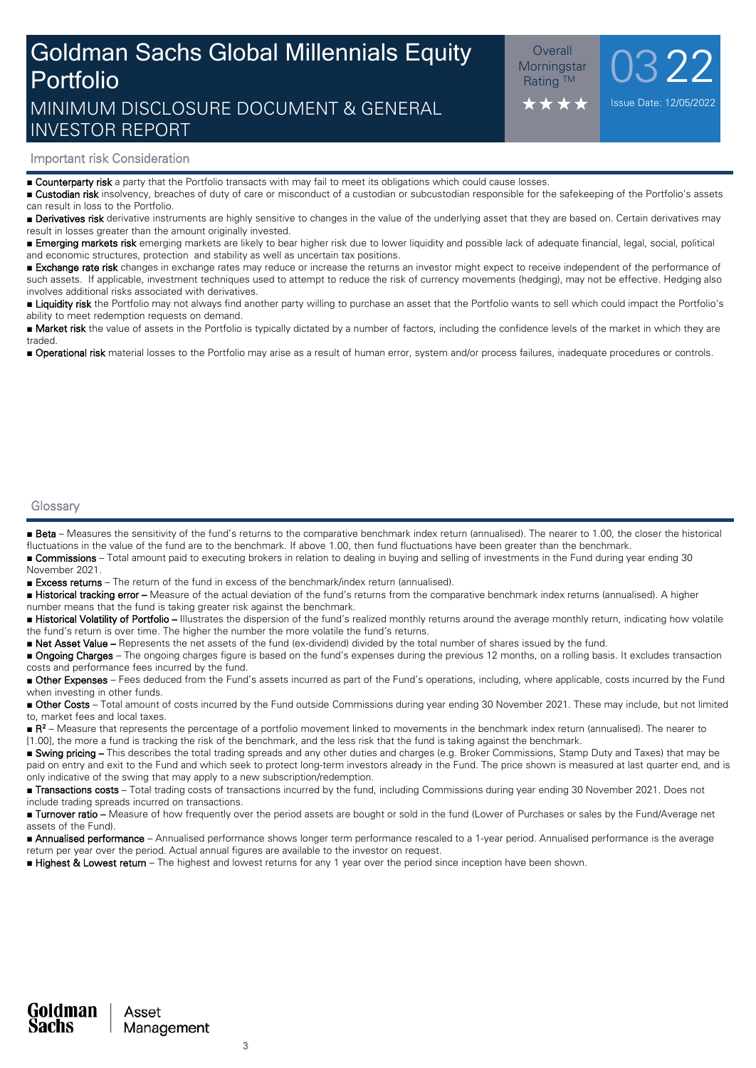# Goldman Sachs Global Millennials Equity Portfolio MINIMUM DISCLOSURE DOCUMENT & GENERAL

 $\frac{\text{Overall}}{\text{primary max}}$  0322 **Morningstar Rating ™** 

Issue Date: 12/05/2022

#### **Important risk Consideration**

INVESTOR REPORT

■ **Counterparty risk** a party that the Portfolio transacts with may fail to meet its obligations which could cause losses.

■ **Custodian risk** insolvency, breaches of duty of care or misconduct of a custodian or subcustodian responsible for the safekeeping of the Portfolio's assets can result in loss to the Portfolio.

■ **Derivatives risk** derivative instruments are highly sensitive to changes in the value of the underlying asset that they are based on. Certain derivatives may result in losses greater than the amount originally invested.

■ **Emerging markets risk** emerging markets are likely to bear higher risk due to lower liquidity and possible lack of adequate financial, legal, social, political and economic structures, protection and stability as well as uncertain tax positions.

■ **Exchange rate risk** changes in exchange rates may reduce or increase the returns an investor might expect to receive independent of the performance of such assets. If applicable, investment techniques used to attempt to reduce the risk of currency movements (hedging), may not be effective. Hedging also involves additional risks associated with derivatives.

■ Liquidity risk the Portfolio may not always find another party willing to purchase an asset that the Portfolio wants to sell which could impact the Portfolio's ability to meet redemption requests on demand.

■ Market risk the value of assets in the Portfolio is typically dictated by a number of factors, including the confidence levels of the market in which they are traded.

■ **Operational risk** material losses to the Portfolio may arise as a result of human error, system and/or process failures, inadequate procedures or controls.

#### **Glossary**

■ Beta – Measures the sensitivity of the fund's returns to the comparative benchmark index return (annualised). The nearer to 1.00, the closer the historical fluctuations in the value of the fund are to the benchmark. If above 1.00, then fund fluctuations have been greater than the benchmark.

■ **Commissions** – Total amount paid to executing brokers in relation to dealing in buying and selling of investments in the Fund during year ending 30 November 2021.

■ **Excess returns** – The return of the fund in excess of the benchmark/index return (annualised).

■ **Historical tracking error –** Measure of the actual deviation of the fund's returns from the comparative benchmark index returns (annualised). A higher number means that the fund is taking greater risk against the benchmark.

■ Historical Volatility of Portfolio – Illustrates the dispersion of the fund's realized monthly returns around the average monthly return, indicating how volatile the fund's return is over time. The higher the number the more volatile the fund's returns.

■ **Net Asset Value –** Represents the net assets of the fund (ex-dividend) divided by the total number of shares issued by the fund.

■ **Ongoing Charges** – The ongoing charges figure is based on the fund's expenses during the previous 12 months, on a rolling basis. It excludes transaction costs and performance fees incurred by the fund.

■ Other Expenses – Fees deduced from the Fund's assets incurred as part of the Fund's operations, including, where applicable, costs incurred by the Fund when investing in other funds.

■ Other Costs – Total amount of costs incurred by the Fund outside Commissions during year ending 30 November 2021. These may include, but not limited to, market fees and local taxes.

■ **R**<sup>2</sup> – Measure that represents the percentage of a portfolio movement linked to movements in the benchmark index return (annualised). The nearer to [1.00], the more a fund is tracking the risk of the benchmark, and the less risk that the fund is taking against the benchmark.

■ Swing pricing – This describes the total trading spreads and any other duties and charges (e.g. Broker Commissions, Stamp Duty and Taxes) that may be paid on entry and exit to the Fund and which seek to protect long-term investors already in the Fund. The price shown is measured at last quarter end, and is only indicative of the swing that may apply to a new subscription/redemption.

■ **Transactions costs** – Total trading costs of transactions incurred by the fund, including Commissions during year ending 30 November 2021. Does not include trading spreads incurred on transactions.

■ **Turnover ratio** – Measure of how frequently over the period assets are bought or sold in the fund (Lower of Purchases or sales by the Fund/Average net assets of the Fund).

■ **Annualised performance** – Annualised performance shows longer term performance rescaled to a 1-year period. Annualised performance is the average return per year over the period. Actual annual figures are available to the investor on request.

■ **Highest & Lowest return** – The highest and lowest returns for any 1 year over the period since inception have been shown.